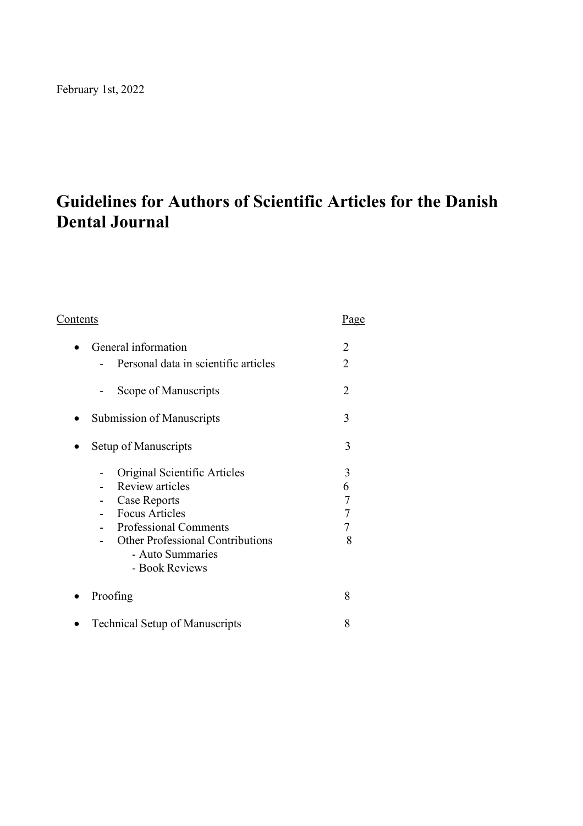# **Guidelines for Authors of Scientific Articles for the Danish Dental Journal**

| <u>Contents</u>                         | Page           |
|-----------------------------------------|----------------|
| General information                     | 2              |
| Personal data in scientific articles    | $\overline{2}$ |
| Scope of Manuscripts                    | 2              |
| <b>Submission of Manuscripts</b>        | 3              |
| Setup of Manuscripts                    | 3              |
| Original Scientific Articles            | 3              |
| <b>Review articles</b>                  | 6              |
| Case Reports                            | $\overline{7}$ |
| <b>Focus Articles</b>                   | $\overline{7}$ |
| <b>Professional Comments</b>            | 7              |
| <b>Other Professional Contributions</b> | 8              |
| - Auto Summaries                        |                |
| - Book Reviews                          |                |
| Proofing                                | 8              |
| <b>Technical Setup of Manuscripts</b>   | 8              |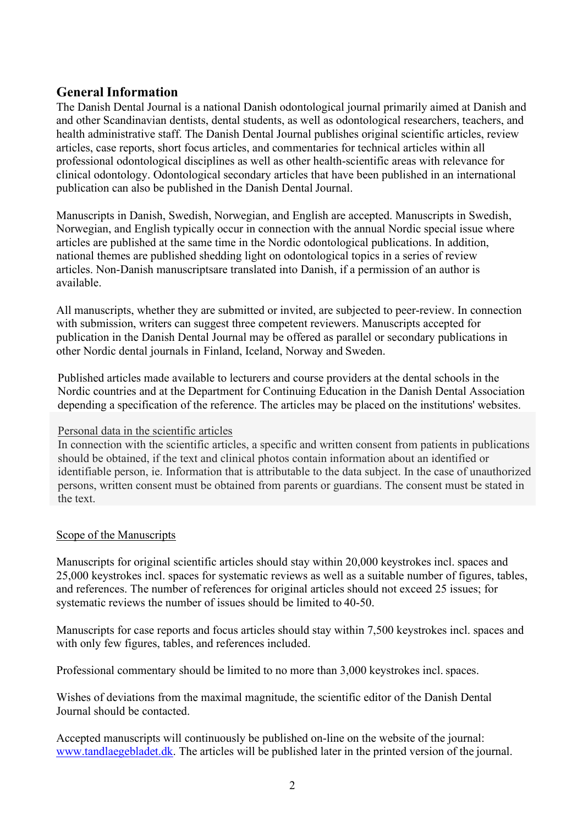## <span id="page-1-0"></span>**General Information**

The Danish Dental Journal is a national Danish odontological journal primarily aimed at Danish and and other Scandinavian dentists, dental students, as well as odontological researchers, teachers, and health administrative staff. The Danish Dental Journal publishes original scientific articles, review articles, case reports, short focus articles, and commentaries for technical articles within all professional odontological disciplines as well as other health-scientific areas with relevance for clinical odontology. Odontological secondary articles that have been published in an international publication can also be published in the Danish Dental Journal.

Manuscripts in Danish, Swedish, Norwegian, and English are accepted. Manuscripts in Swedish, Norwegian, and English typically occur in connection with the annual Nordic special issue where articles are published at the same time in the Nordic odontological publications. In addition, national themes are published shedding light on odontological topics in a series of review articles. Non-Danish manuscriptsare translated into Danish, if a permission of an author is available.

All manuscripts, whether they are submitted or invited, are subjected to peer-review. In connection with submission, writers can suggest three competent reviewers. Manuscripts accepted for publication in the Danish Dental Journal may be offered as parallel or secondary publications in other Nordic dental journals in Finland, Iceland, Norway and Sweden.

Published articles made available to lecturers and course providers at the dental schools in the Nordic countries and at the Department for Continuing Education in the Danish Dental Association depending a specification of the reference. The articles may be placed on the institutions' websites.

## Personal data in the scientific articles

In connection with the scientific articles, a specific and written consent from patients in publications should be obtained, if the text and clinical photos contain information about an identified or identifiable person, ie. Information that is attributable to the data subject. In the case of unauthorized persons, written consent must be obtained from parents or guardians. The consent must be stated in the text.

## Scope of the Manuscripts

Manuscripts for original scientific articles should stay within 20,000 keystrokes incl. spaces and 25,000 keystrokes incl. spaces for systematic reviews as well as a suitable number of figures, tables, and references. The number of references for original articles should not exceed 25 issues; for systematic reviews the number of issues should be limited to 40-50.

Manuscripts for case reports and focus articles should stay within 7,500 keystrokes incl. spaces and with only few figures, tables, and references included.

Professional commentary should be limited to no more than 3,000 keystrokes incl. spaces.

Wishes of deviations from the maximal magnitude, the scientific editor of the Danish Dental Journal should be contacted.

Accepted manuscripts will continuously be published on-line on the website of the journal: [www.tandlaegebladet.dk.](http://www.tandlaegebladet.dk/) The articles will be published later in the printed version of the journal.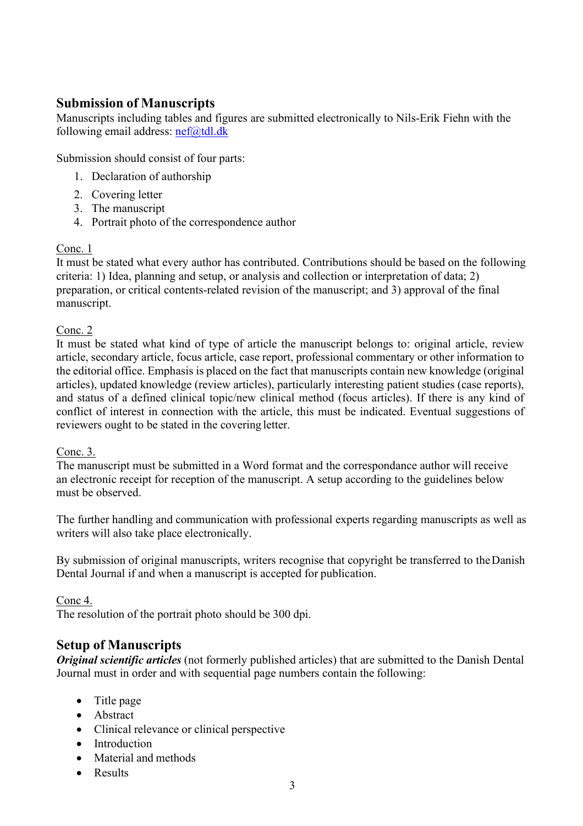# <span id="page-2-0"></span>**Submission of Manuscripts**

Manuscripts including tables and figures are submitted electronically to Nils-Erik Fiehn with the following email address:  $\frac{nef(\omega) \cdot dx}{e}$ 

Submission should consist of four parts:

- 1. Declaration of authorship
- 2. Covering letter
- 3. The manuscript
- 4. Portrait photo of the correspondence author

## Conc. 1

It must be stated what every author has contributed. Contributions should be based on the following criteria: 1) Idea, planning and setup, or analysis and collection or interpretation of data; 2) preparation, or critical contents-related revision of the manuscript; and 3) approval of the final manuscript.

## Conc. 2

It must be stated what kind of type of article the manuscript belongs to: original article, review article, secondary article, focus article, case report, professional commentary or other information to the editorial office. Emphasis is placed on the fact that manuscripts contain new knowledge (original articles), updated knowledge (review articles), particularly interesting patient studies (case reports), and status of a defined clinical topic/new clinical method (focus articles). If there is any kind of conflict of interest in connection with the article, this must be indicated. Eventual suggestions of reviewers ought to be stated in the covering letter.

## Conc. 3.

The manuscript must be submitted in a Word format and the correspondance author will receive an electronic receipt for reception of the manuscript. A setup according to the guidelines below must be observed.

The further handling and communication with professional experts regarding manuscripts as well as writers will also take place electronically.

By submission of original manuscripts, writers recognise that copyright be transferred to theDanish Dental Journal if and when a manuscript is accepted for publication.

Conc 4.

The resolution of the portrait photo should be 300 dpi.

# <span id="page-2-1"></span>**Setup of Manuscripts**

*Original scientific articles* (not formerly published articles) that are submitted to the Danish Dental Journal must in order and with sequential page numbers contain the following:

- Title page
- Abstract
- Clinical relevance or clinical perspective
- Introduction
- Material and methods
- **Results**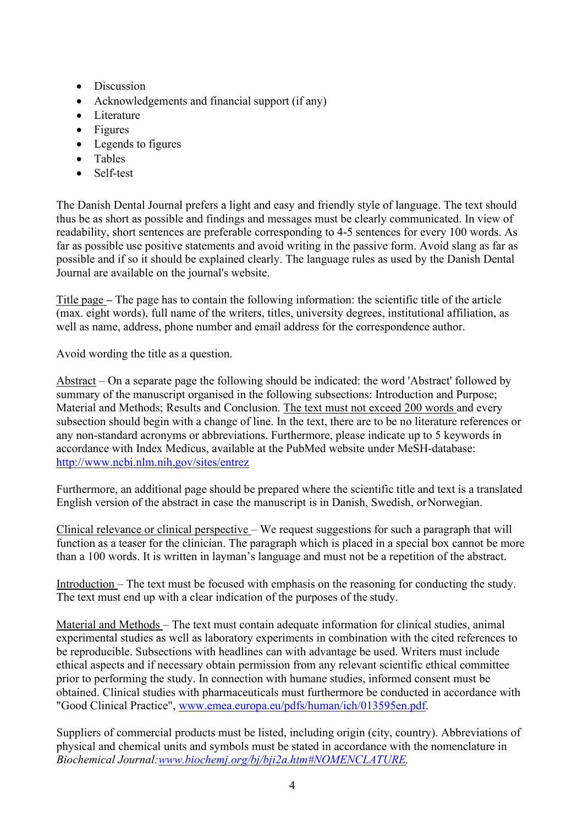- Discussion
- Acknowledgements and financial support (if any)
- Literature
- Figures
- Legends to figures
- Tables
- Self-test

The Danish Dental Journal prefers a light and easy and friendly style of language. The text should thus be as short as possible and findings and messages must be clearly communicated. In view of readability, short sentences are preferable corresponding to 4-5 sentences for every 100 words. As far as possible use positive statements and avoid writing in the passive form. Avoid slang as far as possible and if so it should be explained clearly. The language rules as used by the Danish Dental Journal are available on the journal's website.

Title page **–** The page has to contain the following information: the scientific title of the article (max. eight words), full name of the writers, titles, university degrees, institutional affiliation, as well as name, address, phone number and email address for the correspondence author.

Avoid wording the title as a question.

Abstract – On a separate page the following should be indicated: the word 'Abstract' followed by summary of the manuscript organised in the following subsections: Introduction and Purpose; Material and Methods; Results and Conclusion. The text must not exceed 200 words and every subsection should begin with a change of line. In the text, there are to be no literature references or any non-standard acronyms or abbreviations. Furthermore, please indicate up to 5 keywords in accordance with Index Medicus, available at the PubMed website under MeSH-database: <http://www.ncbi.nlm.nih.gov/sites/entrez>

Furthermore, an additional page should be prepared where the scientific title and text is a translated English version of the abstract in case the manuscript is in Danish, Swedish, orNorwegian.

Clinical relevance or clinical perspective – We request suggestions for such a paragraph that will function as a teaser for the clinician. The paragraph which is placed in a special box cannot be more than a 100 words. It is written in layman's language and must not be a repetition of the abstract.

Introduction – The text must be focused with emphasis on the reasoning for conducting the study. The text must end up with a clear indication of the purposes of the study.

Material and Methods – The text must contain adequate information for clinical studies, animal experimental studies as well as laboratory experiments in combination with the cited references to be reproducible. Subsections with headlines can with advantage be used. Writers must include ethical aspects and if necessary obtain permission from any relevant scientific ethical committee prior to performing the study. In connection with humane studies, informed consent must be obtained. Clinical studies with pharmaceuticals must furthermore be conducted in accordance with "Good Clinical Practice", [www.emea.europa.eu/pdfs/human/ich/013595en.pdf.](http://www.emea.europa.eu/pdfs/human/ich/013595en.pdf)

Suppliers of commercial products must be listed, including origin (city, country). Abbreviations of physical and chemical units and symbols must be stated in accordance with the nomenclature in *Biochemical Journal[:www.biochemj.org/bj/bji2a.htm#NOMENCLATURE.](http://www.biochemj.org/bj/bji2a.htm#NOMENCLATURE)*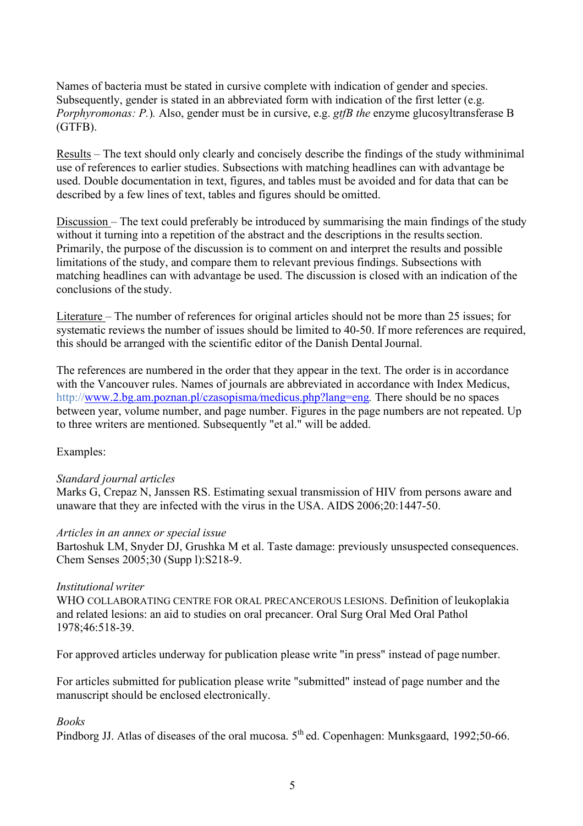Names of bacteria must be stated in cursive complete with indication of gender and species. Subsequently, gender is stated in an abbreviated form with indication of the first letter (e.g. *Porphyromonas: P.*)*.* Also, gender must be in cursive, e.g. *gtfB the* enzyme glucosyltransferase B (GTFB).

Results – The text should only clearly and concisely describe the findings of the study withminimal use of references to earlier studies. Subsections with matching headlines can with advantage be used. Double documentation in text, figures, and tables must be avoided and for data that can be described by a few lines of text, tables and figures should be omitted.

Discussion – The text could preferably be introduced by summarising the main findings of the study without it turning into a repetition of the abstract and the descriptions in the results section. Primarily, the purpose of the discussion is to comment on and interpret the results and possible limitations of the study, and compare them to relevant previous findings. Subsections with matching headlines can with advantage be used. The discussion is closed with an indication of the conclusions of the study.

Literature – The number of references for original articles should not be more than 25 issues; for systematic reviews the number of issues should be limited to 40-50. If more references are required, this should be arranged with the scientific editor of the Danish Dental Journal.

The references are numbered in the order that they appear in the text. The order is in accordance with the Vancouver rules. Names of journals are abbreviated in accordance with Index Medicus, [http://www.2.bg.am.poznan.pl/czasopisma](http://www.2.bg.am.poznan.pl/czasopisma/medicus.php?lang=eng)*/*medicus.php?lang=eng*.* There should be no spaces between year, volume number, and page number. Figures in the page numbers are not repeated. Up to three writers are mentioned. Subsequently "et al." will be added.

Examples:

## *Standard journal articles*

Marks G, Crepaz N, Janssen RS. Estimating sexual transmission of HIV from persons aware and unaware that they are infected with the virus in the USA. AIDS 2006;20:1447-50.

#### *Articles in an annex or special issue*

Bartoshuk LM, Snyder DJ, Grushka M et al. Taste damage: previously unsuspected consequences. Chem Senses 2005;30 (Supp l):S218-9.

#### *Institutional writer*

WHO COLLABORATING CENTRE FOR ORAL PRECANCEROUS LESIONS. Definition of leukoplakia and related lesions: an aid to studies on oral precancer. Oral Surg Oral Med Oral Pathol 1978;46:518-39.

For approved articles underway for publication please write "in press" instead of page number.

For articles submitted for publication please write "submitted" instead of page number and the manuscript should be enclosed electronically.

## *Books*

Pindborg JJ. Atlas of diseases of the oral mucosa.  $5<sup>th</sup>$  ed. Copenhagen: Munksgaard, 1992;50-66.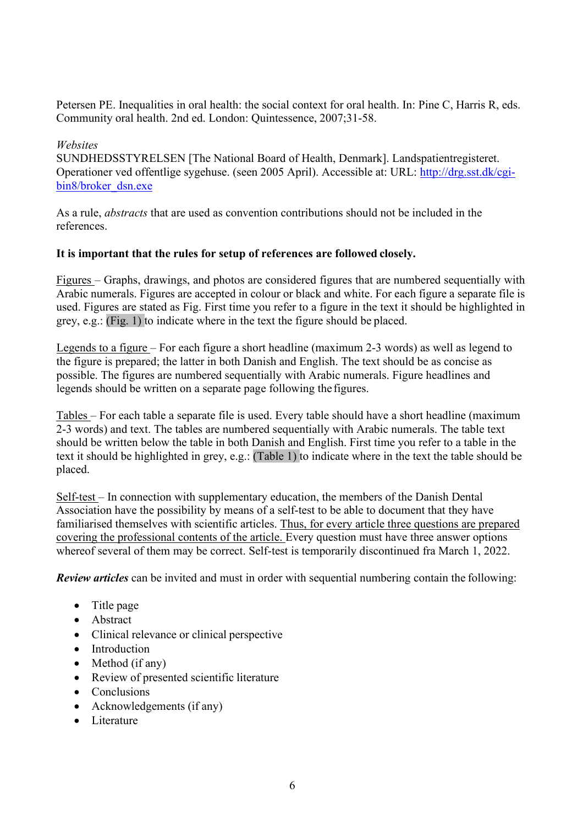Petersen PE. Inequalities in oral health: the social context for oral health. In: Pine C, Harris R, eds. Community oral health. 2nd ed. London: Quintessence, 2007;31-58.

#### *Websites*

SUNDHEDSSTYRELSEN [The National Board of Health, Denmark]. Landspatientregisteret. Operationer ved offentlige sygehuse. (seen 2005 April). Accessible at: URL: [http://drg.sst.dk/cgi](http://drg.sst.dk/cgi-)bin8/broker\_dsn.exe

As a rule, *abstracts* that are used as convention contributions should not be included in the references.

#### **It is important that the rules for setup of references are followed closely.**

Figures – Graphs, drawings, and photos are considered figures that are numbered sequentially with Arabic numerals. Figures are accepted in colour or black and white. For each figure a separate file is used. Figures are stated as Fig. First time you refer to a figure in the text it should be highlighted in grey, e.g.: (Fig. 1) to indicate where in the text the figure should be placed.

Legends to a figure – For each figure a short headline (maximum 2-3 words) as well as legend to the figure is prepared; the latter in both Danish and English. The text should be as concise as possible. The figures are numbered sequentially with Arabic numerals. Figure headlines and legends should be written on a separate page following the figures.

Tables – For each table a separate file is used. Every table should have a short headline (maximum 2-3 words) and text. The tables are numbered sequentially with Arabic numerals. The table text should be written below the table in both Danish and English. First time you refer to a table in the text it should be highlighted in grey, e.g.: (Table 1) to indicate where in the text the table should be placed.

Self-test – In connection with supplementary education, the members of the Danish Dental Association have the possibility by means of a self-test to be able to document that they have familiarised themselves with scientific articles. Thus, for every article three questions are prepared covering the professional contents of the article. Every question must have three answer options whereof several of them may be correct. Self-test is temporarily discontinued fra March 1, 2022.

*Review articles* can be invited and must in order with sequential numbering contain the following:

- Title page
- Abstract
- Clinical relevance or clinical perspective
- Introduction
- Method (if any)
- Review of presented scientific literature
- Conclusions
- Acknowledgements (if any)
- Literature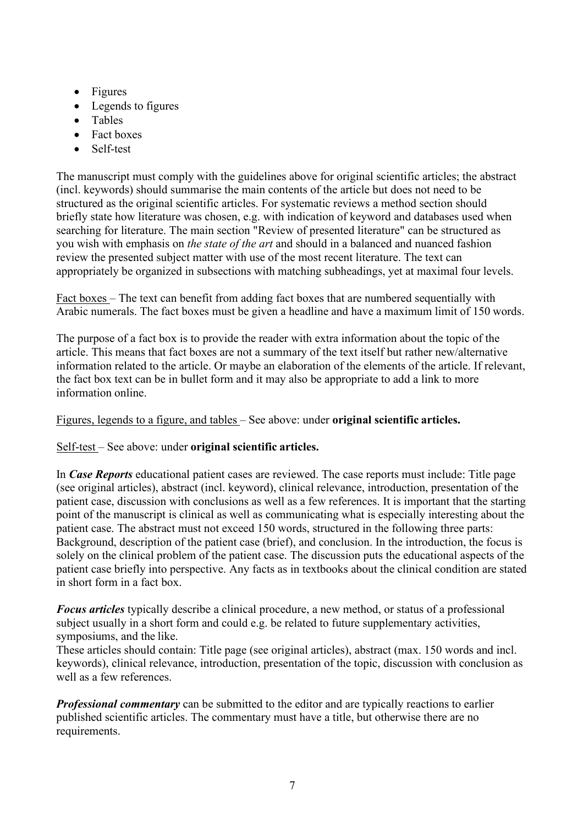- Figures
- Legends to figures
- Tables
- Fact boxes
- Self-test

The manuscript must comply with the guidelines above for original scientific articles; the abstract (incl. keywords) should summarise the main contents of the article but does not need to be structured as the original scientific articles. For systematic reviews a method section should briefly state how literature was chosen, e.g. with indication of keyword and databases used when searching for literature. The main section "Review of presented literature" can be structured as you wish with emphasis on *the state of the art* and should in a balanced and nuanced fashion review the presented subject matter with use of the most recent literature. The text can appropriately be organized in subsections with matching subheadings, yet at maximal four levels.

Fact boxes – The text can benefit from adding fact boxes that are numbered sequentially with Arabic numerals. The fact boxes must be given a headline and have a maximum limit of 150 words.

The purpose of a fact box is to provide the reader with extra information about the topic of the article. This means that fact boxes are not a summary of the text itself but rather new/alternative information related to the article. Or maybe an elaboration of the elements of the article. If relevant, the fact box text can be in bullet form and it may also be appropriate to add a link to more information online.

## Figures, legends to a figure, and tables – See above: under **original scientific articles.**

Self-test – See above: under **original scientific articles.**

In *Case Reports* educational patient cases are reviewed. The case reports must include: Title page (see original articles), abstract (incl. keyword), clinical relevance, introduction, presentation of the patient case, discussion with conclusions as well as a few references. It is important that the starting point of the manuscript is clinical as well as communicating what is especially interesting about the patient case. The abstract must not exceed 150 words, structured in the following three parts: Background, description of the patient case (brief), and conclusion. In the introduction, the focus is solely on the clinical problem of the patient case. The discussion puts the educational aspects of the patient case briefly into perspective. Any facts as in textbooks about the clinical condition are stated in short form in a fact box.

*Focus articles* typically describe a clinical procedure, a new method, or status of a professional subject usually in a short form and could e.g. be related to future supplementary activities, symposiums, and the like.

These articles should contain: Title page (see original articles), abstract (max. 150 words and incl. keywords), clinical relevance, introduction, presentation of the topic, discussion with conclusion as well as a few references.

*Professional commentary* can be submitted to the editor and are typically reactions to earlier published scientific articles. The commentary must have a title, but otherwise there are no requirements.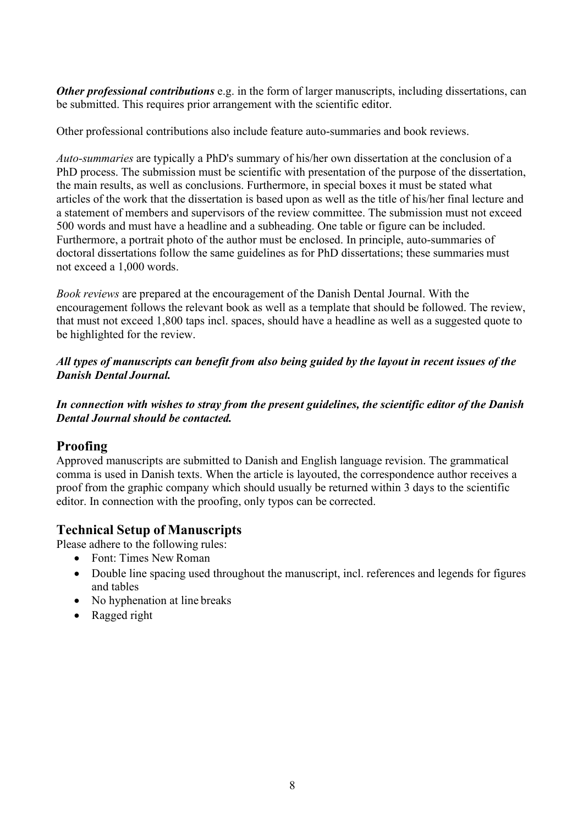*Other professional contributions* e.g. in the form of larger manuscripts, including dissertations, can be submitted. This requires prior arrangement with the scientific editor.

Other professional contributions also include feature auto-summaries and book reviews.

*Auto-summaries* are typically a PhD's summary of his/her own dissertation at the conclusion of a PhD process. The submission must be scientific with presentation of the purpose of the dissertation, the main results, as well as conclusions. Furthermore, in special boxes it must be stated what articles of the work that the dissertation is based upon as well as the title of his/her final lecture and a statement of members and supervisors of the review committee. The submission must not exceed 500 words and must have a headline and a subheading. One table or figure can be included. Furthermore, a portrait photo of the author must be enclosed. In principle, auto-summaries of doctoral dissertations follow the same guidelines as for PhD dissertations; these summaries must not exceed a 1,000 words.

*Book reviews* are prepared at the encouragement of the Danish Dental Journal. With the encouragement follows the relevant book as well as a template that should be followed. The review, that must not exceed 1,800 taps incl. spaces, should have a headline as well as a suggested quote to be highlighted for the review.

*All types of manuscripts can benefit from also being guided by the layout in recent issues of the Danish Dental Journal.*

*In connection with wishes to stray from the present guidelines, the scientific editor of the Danish Dental Journal should be contacted.*

# <span id="page-7-0"></span>**Proofing**

Approved manuscripts are submitted to Danish and English language revision. The grammatical comma is used in Danish texts. When the article is layouted, the correspondence author receives a proof from the graphic company which should usually be returned within 3 days to the scientific editor. In connection with the proofing, only typos can be corrected.

# <span id="page-7-1"></span>**Technical Setup of Manuscripts**

Please adhere to the following rules:

- Font: Times New Roman
- Double line spacing used throughout the manuscript, incl. references and legends for figures and tables
- No hyphenation at line breaks
- Ragged right